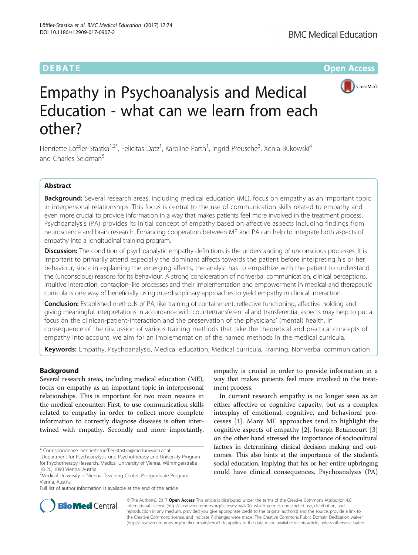**DEBATE CONSERVATION CONSERVATION** 



# Empathy in Psychoanalysis and Medical Education - what can we learn from each other?

Henriette Löffler-Stastka<sup>1,2\*</sup>, Felicitas Datz<sup>1</sup>, Karoline Parth<sup>1</sup>, Ingrid Preusche<sup>3</sup>, Xenia Bukowski<sup>4</sup> and Charles Seidman<sup>5</sup>

# Abstract

Background: Several research areas, including medical education (ME), focus on empathy as an important topic in interpersonal relationships. This focus is central to the use of communication skills related to empathy and even more crucial to provide information in a way that makes patients feel more involved in the treatment process. Psychoanalysis (PA) provides its initial concept of empathy based on affective aspects including findings from neuroscience and brain research. Enhancing cooperation between ME and PA can help to integrate both aspects of empathy into a longitudinal training program.

**Discussion:** The condition of psychoanalytic empathy definitions is the understanding of unconscious processes. It is important to primarily attend especially the dominant affects towards the patient before interpreting his or her behaviour, since in explaining the emerging affects, the analyst has to empathize with the patient to understand the (unconscious) reasons for its behaviour. A strong consideration of nonverbal communication, clinical perceptions, intuitive interaction, contagion-like processes and their implementation and empowerment in medical and therapeutic curricula is one way of beneficially using interdisciplinary approaches to yield empathy in clinical interaction.

**Conclusion:** Established methods of PA, like training of containment, reflective functioning, affective holding and giving meaningful interpretations in accordance with countertransferential and transferential aspects may help to put a focus on the clinican-patient-interaction and the preservation of the physicians' (mental) health. In consequence of the discussion of various training methods that take the theoretical and practical concepts of empathy into account, we aim for an implementation of the named methods in the medical curricula.

Keywords: Empathy, Psychoanalysis, Medical education, Medical curricula, Training, Nonverbal communication

# Background

Several research areas, including medical education (ME), focus on empathy as an important topic in interpersonal relationships. This is important for two main reasons in the medical encounter: First, to use communication skills related to empathy in order to collect more complete information to correctly diagnose diseases is often intertwined with empathy. Secondly and more importantly,

empathy is crucial in order to provide information in a way that makes patients feel more involved in the treatment process.

In current research empathy is no longer seen as an either affective or cognitive capacity, but as a complex interplay of emotional, cognitive, and behavioral processes [\[1](#page-4-0)]. Many ME approaches tend to highlight the cognitive aspects of empathy [\[2](#page-4-0)]. Joseph Betancourt [\[3](#page-4-0)] on the other hand stressed the importance of sociocultural factors in determining clinical decision making and outcomes. This also hints at the importance of the student's social education, implying that his or her entire upbringing could have clinical consequences. Psychoanalysis (PA)



© The Author(s). 2017 **Open Access** This article is distributed under the terms of the Creative Commons Attribution 4.0 International License [\(http://creativecommons.org/licenses/by/4.0/](http://creativecommons.org/licenses/by/4.0/)), which permits unrestricted use, distribution, and reproduction in any medium, provided you give appropriate credit to the original author(s) and the source, provide a link to the Creative Commons license, and indicate if changes were made. The Creative Commons Public Domain Dedication waiver [\(http://creativecommons.org/publicdomain/zero/1.0/](http://creativecommons.org/publicdomain/zero/1.0/)) applies to the data made available in this article, unless otherwise stated.

<sup>\*</sup> Correspondence: [henriette.loeffler-stastka@meduniwien.ac.at](mailto:henriette.loeffler-stastka@meduniwien.ac.at) <sup>1</sup>

<sup>&</sup>lt;sup>1</sup>Department for Psychoanalysis und Psychotherapy and University Program for Psychotherapy Research, Medical University of Vienna, Währingerstraße 18-20, 1090 Vienna, Austria

<sup>&</sup>lt;sup>2</sup>Medical University of Vienna, Teaching Center, Postgraduate Program, Vienna, Austria

Full list of author information is available at the end of the article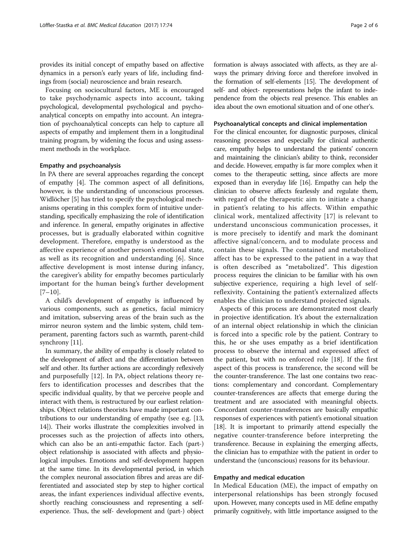provides its initial concept of empathy based on affective dynamics in a person's early years of life, including findings from (social) neuroscience and brain research.

Focusing on sociocultural factors, ME is encouraged to take psychodynamic aspects into account, taking psychological, developmental psychological and psychoanalytical concepts on empathy into account. An integration of psychoanalytical concepts can help to capture all aspects of empathy and implement them in a longitudinal training program, by widening the focus and using assessment methods in the workplace.

#### Empathy and psychoanalysis

In PA there are several approaches regarding the concept of empathy [\[4\]](#page-4-0). The common aspect of all definitions, however, is the understanding of unconscious processes. Widlöcher [[5\]](#page-4-0) has tried to specify the psychological mechanisms operating in this complex form of intuitive understanding, specifically emphasizing the role of identification and inference. In general, empathy originates in affective processes, but is gradually elaborated within cognitive development. Therefore, empathy is understood as the affective experience of another person's emotional state, as well as its recognition and understanding [[6\]](#page-4-0). Since affective development is most intense during infancy, the caregiver's ability for empathy becomes particularly important for the human being's further development  $[7-10]$  $[7-10]$  $[7-10]$  $[7-10]$ .

A child's development of empathy is influenced by various components, such as genetics, facial mimicry and imitation, subserving areas of the brain such as the mirror neuron system and the limbic system, child temperament, parenting factors such as warmth, parent-child synchrony [[11](#page-4-0)].

In summary, the ability of empathy is closely related to the development of affect and the differentiation between self and other. Its further actions are accordingly reflexively and purposefully [\[12](#page-4-0)]. In PA, object relations theory refers to identification processes and describes that the specific individual quality, by that we perceive people and interact with them, is restructured by our earliest relationships. Object relations theorists have made important contributions to our understanding of empathy (see e.g. [[13](#page-5-0), [14](#page-5-0)]). Their works illustrate the complexities involved in processes such as the projection of affects into others, which can also be an anti-empathic factor. Each (part-) object relationship is associated with affects and physiological impulses. Emotions and self-development happen at the same time. In its developmental period, in which the complex neuronal association fibres and areas are differentiated and associated step by step to higher cortical areas, the infant experiences individual affective events, shortly reaching consciousness and representing a selfexperience. Thus, the self- development and (part-) object

formation is always associated with affects, as they are always the primary driving force and therefore involved in the formation of self-elements [\[15\]](#page-5-0). The development of self- and object- representations helps the infant to independence from the objects real presence. This enables an idea about the own emotional situation and of one other's.

#### Psychoanalytical concepts and clinical implementation

For the clinical encounter, for diagnostic purposes, clinical reasoning processes and especially for clinical authentic care, empathy helps to understand the patients' concern and maintaining the clinician's ability to think, reconsider and decide. However, empathy is far more complex when it comes to the therapeutic setting, since affects are more exposed than in everyday life [\[16\]](#page-5-0). Empathy can help the clinician to observe affects fearlessly and regulate them, with regard of the therapeutic aim to initiate a change in patient's relating to his affects. Within empathic clinical work, mentalized affectivity [[17](#page-5-0)] is relevant to understand unconscious communication processes, it is more precisely to identify and mark the dominant affective signal/concern, and to modulate process and contain these signals. The contained and metabolized affect has to be expressed to the patient in a way that is often described as "metabolized". This digestion process requires the clinician to be familiar with his own subjective experience, requiring a high level of selfreflexivity. Containing the patient's externalized affects enables the clinician to understand projected signals.

Aspects of this process are demonstrated most clearly in projective identification. It's about the externalization of an internal object relationship in which the clinician is forced into a specific role by the patient. Contrary to this, he or she uses empathy as a brief identification process to observe the internal and expressed affect of the patient, but with no enforced role [\[18](#page-5-0)]. If the first aspect of this process is transference, the second will be the counter-transference. The last one contains two reactions: complementary and concordant. Complementary counter-transferences are affects that emerge during the treatment and are associated with meaningful objects. Concordant counter-transferences are basically empathic responses of experiences with patient's emotional situation [[18](#page-5-0)]. It is important to primarily attend especially the negative counter-transference before interpreting the transference. Because in explaining the emerging affects, the clinician has to empathize with the patient in order to understand the (unconscious) reasons for its behaviour.

#### Empathy and medical education

In Medical Education (ME), the impact of empathy on interpersonal relationships has been strongly focused upon. However, many concepts used in ME define empathy primarily cognitively, with little importance assigned to the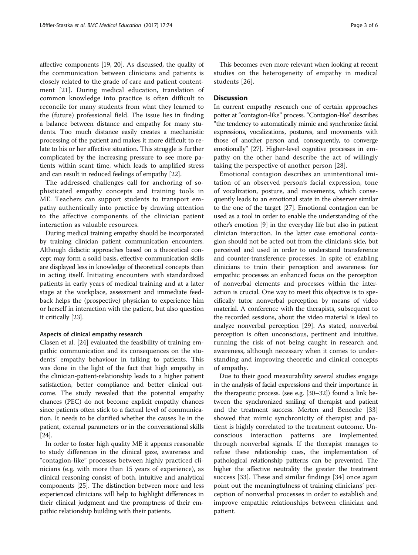affective components [\[19, 20\]](#page-5-0). As discussed, the quality of the communication between clinicians and patients is closely related to the grade of care and patient contentment [\[21\]](#page-5-0). During medical education, translation of common knowledge into practice is often difficult to reconcile for many students from what they learned to the (future) professional field. The issue lies in finding a balance between distance and empathy for many students. Too much distance easily creates a mechanistic processing of the patient and makes it more difficult to relate to his or her affective situation. This struggle is further complicated by the increasing pressure to see more patients within scant time, which leads to amplified stress and can result in reduced feelings of empathy [\[22\]](#page-5-0).

The addressed challenges call for anchoring of sophisticated empathy concepts and training tools in ME. Teachers can support students to transport empathy authentically into practice by drawing attention to the affective components of the clinician patient interaction as valuable resources.

During medical training empathy should be incorporated by training clinician patient communication encounters. Although didactic approaches based on a theoretical concept may form a solid basis, effective communication skills are displayed less in knowledge of theoretical concepts than in acting itself. Initiating encounters with standardized patients in early years of medical training and at a later stage at the workplace, assessment and immediate feedback helps the (prospective) physician to experience him or herself in interaction with the patient, but also question it critically [\[23](#page-5-0)].

## Aspects of clinical empathy research

Clasen et al. [\[24\]](#page-5-0) evaluated the feasibility of training empathic communication and its consequences on the students' empathy behaviour in talking to patients. This was done in the light of the fact that high empathy in the clinician-patient-relationship leads to a higher patient satisfaction, better compliance and better clinical outcome. The study revealed that the potential empathy chances (PEC) do not become explicit empathy chances since patients often stick to a factual level of communication. It needs to be clarified whether the causes lie in the patient, external parameters or in the conversational skills [[24](#page-5-0)].

In order to foster high quality ME it appears reasonable to study differences in the clinical gaze, awareness and "contagion-like" processes between highly practiced clinicians (e.g. with more than 15 years of experience), as clinical reasoning consist of both, intuitive and analytical components [[25](#page-5-0)]. The distinction between more and less experienced clinicians will help to highlight differences in their clinical judgment and the promptness of their empathic relationship building with their patients.

This becomes even more relevant when looking at recent studies on the heterogeneity of empathy in medical students [[26](#page-5-0)].

# **Discussion**

In current empathy research one of certain approaches potter at "contagion-like" process. "Contagion-like" describes "the tendency to automatically mimic and synchronize facial expressions, vocalizations, postures, and movements with those of another person and, consequently, to converge emotionally" [[27\]](#page-5-0). Higher-level cognitive processes in empathy on the other hand describe the act of willingly taking the perspective of another person [[28\]](#page-5-0).

Emotional contagion describes an unintentional imitation of an observed person's facial expression, tone of vocalization, posture, and movements, which consequently leads to an emotional state in the observer similar to the one of the target [\[27](#page-5-0)]. Emotional contagion can be used as a tool in order to enable the understanding of the other's emotion [[9\]](#page-4-0) in the everyday life but also in patient clinician interaction. In the latter case emotional contagion should not be acted out from the clinician's side, but perceived and used in order to understand transference and counter-transference processes. In spite of enabling clinicians to train their perception and awareness for empathic processes an enhanced focus on the perception of nonverbal elements and processes within the interaction is crucial. One way to meet this objective is to specifically tutor nonverbal perception by means of video material. A conference with the therapists, subsequent to the recorded sessions, about the video material is ideal to analyze nonverbal perception [[29](#page-5-0)]. As stated, nonverbal perception is often unconscious, pertinent and intuitive, running the risk of not being caught in research and awareness, although necessary when it comes to understanding and improving theoretic and clinical concepts of empathy.

Due to their good measurability several studies engage in the analysis of facial expressions and their importance in the therapeutic process. (see e.g. [[30](#page-5-0)–[32](#page-5-0)]) found a link between the synchronized smiling of therapist and patient and the treatment success. Merten and Benecke [\[33](#page-5-0)] showed that mimic synchronicity of therapist and patient is highly correlated to the treatment outcome. Unconscious interaction patterns are implemented through nonverbal signals. If the therapist manages to refuse these relationship cues, the implementation of pathological relationship patterns can be prevented. The higher the affective neutrality the greater the treatment success [[33\]](#page-5-0). These and similar findings [[34\]](#page-5-0) once again point out the meaningfulness of training clinicians' perception of nonverbal processes in order to establish and improve empathic relationships between clinician and patient.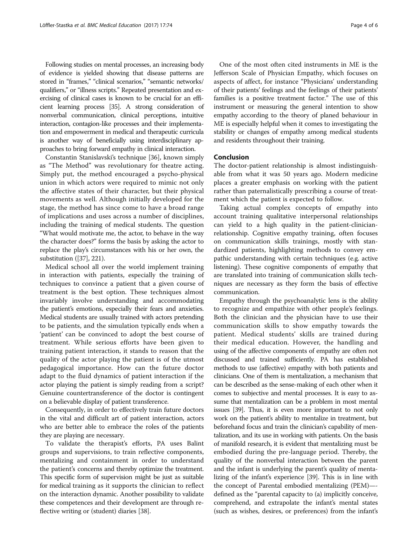Following studies on mental processes, an increasing body of evidence is yielded showing that disease patterns are stored in "frames," "clinical scenarios," "semantic networks/ qualifiers," or "illness scripts." Repeated presentation and exercising of clinical cases is known to be crucial for an efficient learning process [\[35\]](#page-5-0). A strong consideration of nonverbal communication, clinical perceptions, intuitive interaction, contagion-like processes and their implementation and empowerment in medical and therapeutic curricula is another way of beneficially using interdisciplinary approaches to bring forward empathy in clinical interaction.

Constantin Stanislavski's technique [[36\]](#page-5-0), known simply as "The Method" was revolutionary for theatre acting. Simply put, the method encouraged a psycho-physical union in which actors were required to mimic not only the affective states of their character, but their physical movements as well. Although initially developed for the stage, the method has since come to have a broad range of implications and uses across a number of disciplines, including the training of medical students. The question "What would motivate me, the actor, to behave in the way the character does?" forms the basis by asking the actor to replace the play's circumstances with his or her own, the substitution ([\[37\]](#page-5-0), 221).

Medical school all over the world implement training in interaction with patients, especially the training of techniques to convince a patient that a given course of treatment is the best option. These techniques almost invariably involve understanding and accommodating the patient's emotions, especially their fears and anxieties. Medical students are usually trained with actors pretending to be patients, and the simulation typically ends when a 'patient' can be convinced to adopt the best course of treatment. While serious efforts have been given to training patient interaction, it stands to reason that the quality of the actor playing the patient is of the utmost pedagogical importance. How can the future doctor adapt to the fluid dynamics of patient interaction if the actor playing the patient is simply reading from a script? Genuine countertransference of the doctor is contingent on a believable display of patient transference.

Consequently, in order to effectively train future doctors in the vital and difficult art of patient interaction, actors who are better able to embrace the roles of the patients they are playing are necessary.

To validate the therapist's efforts, PA uses Balint groups and supervisions, to train reflective components, mentalizing and containment in order to understand the patient's concerns and thereby optimize the treatment. This specific form of supervision might be just as suitable for medical training as it supports the clinician to reflect on the interaction dynamic. Another possibility to validate these competences and their development are through reflective writing or (student) diaries [\[38\]](#page-5-0).

One of the most often cited instruments in ME is the Jefferson Scale of Physician Empathy, which focuses on aspects of affect, for instance "Physicians' understanding of their patients' feelings and the feelings of their patients' families is a positive treatment factor." The use of this instrument or measuring the general intention to show empathy according to the theory of planed behaviour in ME is especially helpful when it comes to investigating the stability or changes of empathy among medical students and residents throughout their training.

# Conclusion

The doctor-patient relationship is almost indistinguishable from what it was 50 years ago. Modern medicine places a greater emphasis on working with the patient rather than paternalistically prescribing a course of treatment which the patient is expected to follow.

Taking actual complex concepts of empathy into account training qualitative interpersonal relationships can yield to a high quality in the patient-clinicianrelationship. Cognitive empathy training, often focuses on communication skills trainings, mostly with standardized patients, highlighting methods to convey empathic understanding with certain techniques (e.g. active listening). These cognitive components of empathy that are translated into training of communication skills techniques are necessary as they form the basis of effective communication.

Empathy through the psychoanalytic lens is the ability to recognize and empathize with other people's feelings. Both the clinician and the physician have to use their communication skills to show empathy towards the patient. Medical students' skills are trained during their medical education. However, the handling and using of the affective components of empathy are often not discussed and trained sufficiently. PA has established methods to use (affective) empathy with both patients and clinicians. One of them is mentalization, a mechanism that can be described as the sense-making of each other when it comes to subjective and mental processes. It is easy to assume that mentalization can be a problem in most mental issues [[39](#page-5-0)]. Thus, it is even more important to not only work on the patient's ability to mentalize in treatment, but beforehand focus and train the clinician's capability of mentalization, and its use in working with patients. On the basis of manifold research, it is evident that mentalizing must be embodied during the pre-language period. Thereby, the quality of the nonverbal interaction between the parent and the infant is underlying the parent's quality of mentalizing of the infant's experience [\[39\]](#page-5-0). This is in line with the concept of Parental embodied mentalizing (PEM)— defined as the "parental capacity to (a) implicitly conceive, comprehend, and extrapolate the infant's mental states (such as wishes, desires, or preferences) from the infant's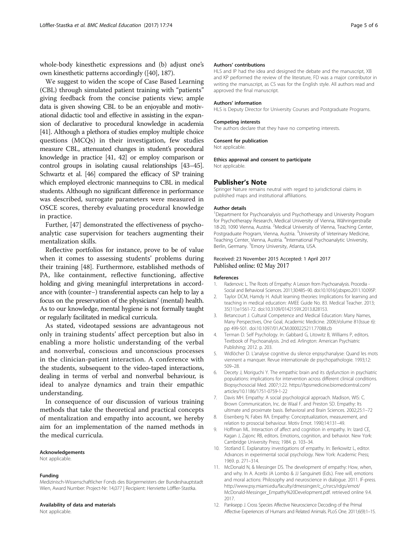<span id="page-4-0"></span>whole-body kinesthetic expressions and (b) adjust one's own kinesthetic patterns accordingly ([\[40\]](#page-5-0), 187).

We suggest to widen the scope of Case Based Learning (CBL) through simulated patient training with "patients" giving feedback from the concise patients view; ample data is given showing CBL to be an enjoyable and motivational didactic tool and effective in assisting in the expansion of declarative to procedural knowledge in academia [[41](#page-5-0)]. Although a plethora of studies employ multiple choice questions (MCQs) in their investigation, few studies measure CBL, attenuated changes in student's procedural knowledge in practice [\[41](#page-5-0), [42](#page-5-0)] or employ comparison or control groups in isolating causal relationships [[43](#page-5-0)–[45](#page-5-0)]. Schwartz et al. [\[46](#page-5-0)] compared the efficacy of SP training which employed electronic mannequins to CBL in medical students. Although no significant difference in performance was described, surrogate parameters were measured in OSCE scores, thereby evaluating procedural knowledge in practice.

Further, [[47\]](#page-5-0) demonstrated the effectiveness of psychoanalytic case supervision for teachers augmenting their mentalization skills.

Reflective portfolios for instance, prove to be of value when it comes to assessing students' problems during their training [\[48](#page-5-0)]. Furthermore, established methods of PA, like containment, reflective functioning, affective holding and giving meaningful interpretations in accordance with (counter−) transferential aspects can help to lay a focus on the preservation of the physicians' (mental) health. As to our knowledge, mental hygiene is not formally taught or regularly facilitated in medical curricula.

As stated, videotaped sessions are advantageous not only in training students' affect perception but also in enabling a more holistic understanding of the verbal and nonverbal, conscious and unconscious processes in the clinician-patient interaction. A conference with the students, subsequent to the video-taped interactions, dealing in terms of verbal and nonverbal behaviour, is ideal to analyze dynamics and train their empathic understanding.

In consequence of our discussion of various training methods that take the theoretical and practical concepts of mentalization and empathy into account, we hereby aim for an implementation of the named methods in the medical curricula.

#### Acknowledgements

Not applicable.

#### Funding

Medizinisch-Wissenschaftlicher Fonds des Bürgermeisters der Bundeshauptstadt Wien, Award Number: Project-Nr: 14,077 | Recipient: Henriette Löffler-Stastka.

### Availability of data and materials

Not applicable.

#### Authors' contributions

HLS and IP had the idea and designed the debate and the manuscript, XB and KP performed the review of the literature, FD was a major contributor in writing the manuscript, as CS was for the English style. All authors read and approved the final manuscript.

#### Authors' information

HLS is Deputy Director for University Courses and Postgraduate Programs.

#### Competing interests

The authors declare that they have no competing interests.

#### Consent for publication

Not applicable.

#### Ethics approval and consent to participate

Not applicable.

#### Publisher's Note

Springer Nature remains neutral with regard to jurisdictional claims in published maps and institutional affiliations.

#### Author details

<sup>1</sup>Department for Psychoanalysis und Psychotherapy and University Program for Psychotherapy Research, Medical University of Vienna, Währingerstraße 18-20, 1090 Vienna, Austria. <sup>2</sup>Medical University of Vienna, Teaching Center Postgraduate Program, Vienna, Austria. <sup>3</sup>University of Veterinary Medicine, Teaching Center, Vienna, Austria. <sup>4</sup>International Psychoanalytic University, Berlin, Germany. <sup>5</sup> Emory University, Atlanta, USA.

### Received: 23 November 2015 Accepted: 1 April 2017 Published online: 02 May 2017

#### References

- 1. Radenovic L. The Roots of Empathy: A Lesson from Psychoanalysis. Procedia Social and Behavioral Sciences. 2011;30:485–90. doi[:10.1016/j.sbspro.2011.10.095P.](http://dx.doi.org/10.1016/j.sbspro.2011.10.095P)
- 2. Taylor DCM, Hamdy H. Adult learning theories: Implications for learning and teaching in medical education: AMEE Guide No. 83. Medical Teacher. 2013; 35(11):e1561-72. doi:[10.3109/0142159X.2013.828153](http://dx.doi.org/10.3109/0142159X.2013.828153).
- 3. Betancourt J. Cultural Competence and Medical Education: Many Names, Many Perspectives, One Goal, Academic Medicine. 2006;Volume 81(Issue 6): pp 499-501. doi:[10.1097/01.ACM.0000225211.77088.cb](http://dx.doi.org/10.1097/01.ACM.0000225211.77088.cb)
- 4. Terman D. Self Psychology. In: Gabbard G, Litowitz B, Williams P, editors. Textbook of Psychoanalysis. 2nd ed. Arlington: American Psychiatric Publishing; 2012. p. 203.
- 5. Widlöcher D. L'analyse cognitive du silence enpsychanalyse: Quand les mots viennent a manquer. Revue internationale de psychopathologie. 1993;12: 509–28.
- 6. Decety J, Moriguchi Y. The empathic brain and its dysfunction in psychiatric populations: implications for intervention across different clinical conditions. Biopsychosocial Med. 2007;1:22. [https://bpsmedicine.biomedcentral.com/](https://bpsmedicine.biomedcentral.com/articles/10.1186/1751-0759-1-22) [articles/10.1186/1751-0759-1-22](https://bpsmedicine.biomedcentral.com/articles/10.1186/1751-0759-1-22)
- 7. Davis MH. Empathy: A social psychological approach. Madison, WIS: C. Brown Communication, Inc. de Waal F. and Preston SD. Empathy: Its ultimate and proximate basis. Behavioral and Brain Sciences. 2002;25:1–72
- 8. Eisenberg N, Fabes RA. Empathy: Conceptualization, measurement, and relation to prosocial behaviour. Motiv Emot. 1990;14:131–49.
- 9. Hoffman ML. Interaction of affect and cognition in empathy. In: Izard CE, Kagan J, Zajonc RB, editors. Emotions, cognition, and behavior. New York: Cambridge University Press; 1984. p. 103–34.
- 10. Stotland E. Explanatory investigations of empathy. In: Berkowitz L, editor. Advances in experimental social psychology. New York: Academic Press; 1969. p. 271–314.
- 11. McDonald N, & Messinger DS. The development of empathy: How, when, and why. In A. Acerbi JA Lombo & JJ Sanguineti (Eds.). Free will, emotions and moral actions: Philosophy and neuroscience in dialogue. 2011. IF-press. http://[www.psy.miami.edu/faculty/dmessinger/c\\_c/rsrcs/rdgs/emot/](http://www.psy.miami.edu/faculty/dmessinger/c_c/rsrcs/rdgs/emot/McDonald-Messinger_Empathy%20Development.pdf) [McDonald-Messinger\\_Empathy%20Development.pdf](http://www.psy.miami.edu/faculty/dmessinger/c_c/rsrcs/rdgs/emot/McDonald-Messinger_Empathy%20Development.pdf). retrieved online 9.4. 2017.
- 12. Panksepp J. Cross Species Affective Neuroscience Decoding of the Primal Affective Experiences of Humans and Related Animals. PLoS One. 2011;6(9):1-15.